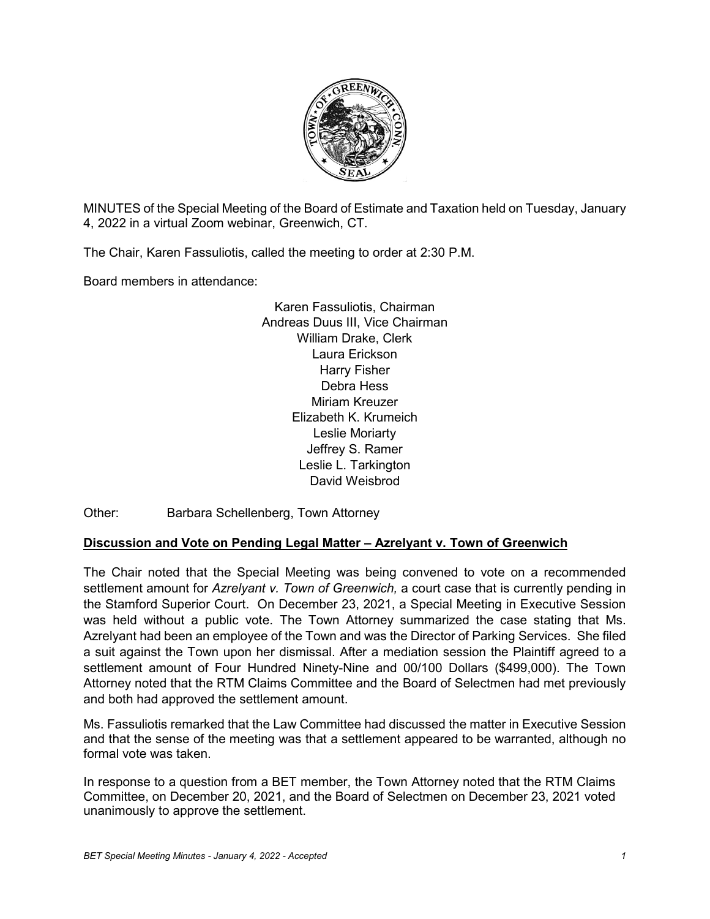

MINUTES of the Special Meeting of the Board of Estimate and Taxation held on Tuesday, January 4, 2022 in a virtual Zoom webinar, Greenwich, CT.

The Chair, Karen Fassuliotis, called the meeting to order at 2:30 P.M.

Board members in attendance:

Karen Fassuliotis, Chairman Andreas Duus III, Vice Chairman William Drake, Clerk Laura Erickson Harry Fisher Debra Hess Miriam Kreuzer Elizabeth K. Krumeich Leslie Moriarty Jeffrey S. Ramer Leslie L. Tarkington David Weisbrod

Other: Barbara Schellenberg, Town Attorney

## **Discussion and Vote on Pending Legal Matter – Azrelyant v. Town of Greenwich**

The Chair noted that the Special Meeting was being convened to vote on a recommended settlement amount for *Azrelyant v. Town of Greenwich,* a court case that is currently pending in the Stamford Superior Court. On December 23, 2021, a Special Meeting in Executive Session was held without a public vote. The Town Attorney summarized the case stating that Ms. Azrelyant had been an employee of the Town and was the Director of Parking Services. She filed a suit against the Town upon her dismissal. After a mediation session the Plaintiff agreed to a settlement amount of Four Hundred Ninety-Nine and 00/100 Dollars (\$499,000). The Town Attorney noted that the RTM Claims Committee and the Board of Selectmen had met previously and both had approved the settlement amount.

Ms. Fassuliotis remarked that the Law Committee had discussed the matter in Executive Session and that the sense of the meeting was that a settlement appeared to be warranted, although no formal vote was taken.

In response to a question from a BET member, the Town Attorney noted that the RTM Claims Committee, on December 20, 2021, and the Board of Selectmen on December 23, 2021 voted unanimously to approve the settlement.